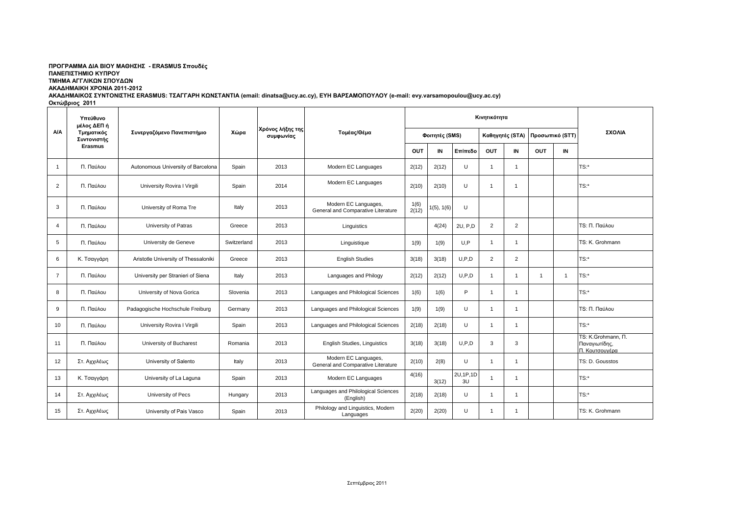## **ΠΡΟΓΡΑΜΜΑ ΔΙΑ ΒΙΟΥ ΜΑΘΗΣΗΣ - ERASMUS Σπουδές ΠΑΝΔΠΙΣΗΜΙΟ ΚΤΠΡΟΤ ΤΜΗΜΑ ΑΓΓΛΙΚΩΝ ΣΠΟΥΔΩΝ**

**ΑΚΑΔΗΜΑΙΚΗ ΧΡΟΝΙΑ 2011-2012** 

ΑΚΑΔΗΜΑΙΚΟΣ ΣΥΝΤΟΝΙΣΤΗΣ ERASMUS: ΤΣΑΓΓΑΡΗ ΚΩΝΣΤΑΝΤΙΑ (email: dinatsa@ucy.ac.cy), ΕΥΗ ΒΑΡΣΑΜΟΠΟΥΛΟΥ (e-mail: evy.varsamopoulou@ucy.ac.cy)

**Οκτώβριος 2011** 

| A/A            | Υπεύθυνο<br>μέλος ΔΕΠ ή<br>Τμηματικός<br>Συντονιστής<br><b>Erasmus</b> | Συνεργαζόμενο Πανεπιστήμιο           | Χώρα        | Χρόνος λήξης της<br>συμφωνίας | Τομέας/Θέμα                                                |                |                 |                  |                 |                |                 |    |                                                       |
|----------------|------------------------------------------------------------------------|--------------------------------------|-------------|-------------------------------|------------------------------------------------------------|----------------|-----------------|------------------|-----------------|----------------|-----------------|----|-------------------------------------------------------|
|                |                                                                        |                                      |             |                               |                                                            | Φοιτητές (SMS) |                 |                  | Καθηγητές (STA) |                | Προσωπικό (STT) |    | ΣΧΟΛΙΑ                                                |
|                |                                                                        |                                      |             |                               |                                                            | OUT            | IN              | Επίπεδο          | OUT             | IN             | OUT             | IN |                                                       |
| $\overline{1}$ | Π. Παύλου                                                              | Autonomous University of Barcelona   | Spain       | 2013                          | Modern EC Languages                                        | 2(12)          | 2(12)           | U                |                 |                |                 |    | $TS:$ *                                               |
| $\overline{2}$ | Π. Παύλου                                                              | University Rovira I Virgili          | Spain       | 2014                          | Modern EC Languages                                        | 2(10)          | 2(10)           | $\cup$           | $\overline{1}$  |                |                 |    | $TS:$ *                                               |
| 3              | Π. Παύλου                                                              | University of Roma Tre               | Italy       | 2013                          | Modern EC Languages,<br>General and Comparative Literature | 1(6)<br>2(12)  | $1(5)$ , $1(6)$ | U                |                 |                |                 |    |                                                       |
| 4              | Π. Παύλου                                                              | University of Patras                 | Greece      | 2013                          | Linguistics                                                |                | 4(24)           | 2U, P,D          | $\overline{2}$  | $\overline{2}$ |                 |    | <b>TS: Π. Παύλου</b>                                  |
| 5              | Π. Παύλου                                                              | University de Geneve                 | Switzerland | 2013                          | Linguistique                                               | 1(9)           | 1(9)            | U.P              |                 |                |                 |    | TS: K. Grohmann                                       |
| 6              | Κ. Τσαγγάρη                                                            | Aristotle University of Thessaloniki | Greece      | 2013                          | <b>English Studies</b>                                     | 3(18)          | 3(18)           | U, P, D          | $\overline{2}$  | $\overline{2}$ |                 |    | $TS:$ *                                               |
| $\overline{7}$ | Π. Παύλου                                                              | University per Stranieri of Siena    | Italy       | 2013                          | Languages and Philogy                                      | 2(12)          | 2(12)           | U.P.D            |                 |                |                 | -1 | TS:*                                                  |
| 8              | Π. Παύλου                                                              | University of Nova Gorica            | Slovenia    | 2013                          | Languages and Philological Sciences                        | 1(6)           | 1(6)            | Þ                |                 |                |                 |    | $TS:$ *                                               |
| 9              | Π. Παύλου                                                              | Padagogische Hochschule Freiburg     | Germany     | 2013                          | Languages and Philological Sciences                        | 1(9)           | 1(9)            | U                |                 |                |                 |    | TS: Π. Παύλου                                         |
| 10             | Π. Παύλου                                                              | University Rovira I Virgili          | Spain       | 2013                          | Languages and Philological Sciences                        | 2(18)          | 2(18)           | U                |                 |                |                 |    | TS:*                                                  |
| 11             | Π. Παύλου                                                              | University of Bucharest              | Romania     | 2013                          | <b>English Studies, Linguistics</b>                        | 3(18)          | 3(18)           | U.P.D            | 3               | 3              |                 |    | TS: K.Grohmann, П.<br>Παναγιωτίδης,<br>Π. Κουτσουνέρα |
| 12             | Στ. Αχχιλέως                                                           | University of Salento                | Italy       | 2013                          | Modern EC Languages,<br>General and Comparative Literature | 2(10)          | 2(8)            | $\cup$           |                 |                |                 |    | TS: D. Gousstos                                       |
| 13             | Κ. Τσαγγάρη                                                            | University of La Laguna              | Spain       | 2013                          | Modern EC Languages                                        | 4(16)          | 3(12)           | 2U, 1P, 1D<br>3U |                 |                |                 |    | $TS:$ *                                               |
| 14             | Στ. Αχχιλέως                                                           | University of Pecs                   | Hungary     | 2013                          | Languages and Philological Sciences<br>(English)           | 2(18)          | 2(18)           | U                |                 |                |                 |    | $TS:$ *                                               |
| 15             | Στ. Αχχιλέως                                                           | University of Pais Vasco             | Spain       | 2013                          | Philology and Linguistics, Modern<br>Languages             | 2(20)          | 2(20)           | U                |                 | $\overline{1}$ |                 |    | TS: K. Grohmann                                       |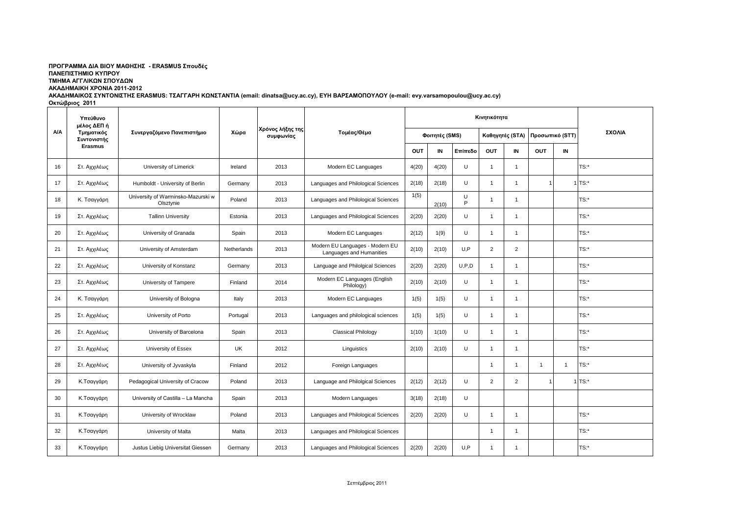## <u>ΠΡΟΓΡΑΜΜΑ ΔΙΑ ΒΙΟΥ ΜΑΘΗΣΗΣ - ERASMUS Σπουδές</u> **ΠΑΝΔΠΙΣΗΜΙΟ ΚΤΠΡΟΤ ΤΜΗΜΑ ΑΓΓΛΙΚΩΝ ΣΠΟΥΔΩΝ**

**ΑΚΑΔΗΜΑΙΚΗ ΧΡΟΝΙΑ 2011-2012** 

ΑΚΑΔΗΜΑΙΚΟΣ ΣΥΝΤΟΝΙΣΤΗΣ ERASMUS: ΤΣΑΓΓΑΡΗ ΚΩΝΣΤΑΝΤΙΑ (email: dinatsa@ucy.ac.cy), ΕΥΗ ΒΑΡΣΑΜΟΠΟΥΛΟΥ (e-mail: evy.varsamopoulou@ucy.ac.cy)

**Οκτώβριος 2011** 

|     | Υπεύθυνο<br>μέλος ΔΕΠ ή<br>Τμηματικός<br>Συντονιστής | Συνεργαζόμενο Πανεπιστήμιο                      | Χώρα        | Χρόνος λήξης της<br>συμφωνίας | Τομέας/Θέμα                                                 |                |       |         |                 |                |                 |                |             |
|-----|------------------------------------------------------|-------------------------------------------------|-------------|-------------------------------|-------------------------------------------------------------|----------------|-------|---------|-----------------|----------------|-----------------|----------------|-------------|
| A/A |                                                      |                                                 |             |                               |                                                             | Φοιτητές (SMS) |       |         | Καθηγητές (STA) |                | Προσωπικό (STT) |                | ΣΧΟΛΙΑ      |
|     | <b>Erasmus</b>                                       |                                                 |             |                               |                                                             | OUT            | IN    | Επίπεδο | OUT             | IN             | OUT             | IN             |             |
| 16  | Στ. Αχχιλέως                                         | University of Limerick                          | Ireland     | 2013                          | Modern EC Languages                                         | 4(20)          | 4(20) | U       |                 | $\mathbf{1}$   |                 |                | $TS:$ *     |
| 17  | Στ. Αχχιλέως                                         | Humboldt - University of Berlin                 | Germany     | 2013                          | Languages and Philological Sciences                         | 2(18)          | 2(18) | U       | $\mathbf{1}$    | $\mathbf{1}$   |                 |                | $1$ TS: $*$ |
| 18  | Κ. Τσαγγάρη                                          | University of Warminsko-Mazurski w<br>Olsztynie | Poland      | 2013                          | Languages and Philological Sciences                         | 1(5)           | 2(10) | U<br>P  | $\overline{1}$  | $\overline{1}$ |                 |                | $TS:$ *     |
| 19  | Στ. Αχχιλέως                                         | <b>Tallinn University</b>                       | Estonia     | 2013                          | Languages and Philological Sciences                         | 2(20)          | 2(20) | U       | $\overline{1}$  | $\overline{1}$ |                 |                | TS:*        |
| 20  | Στ. Αχχιλέως                                         | University of Granada                           | Spain       | 2013                          | Modern EC Languages                                         | 2(12)          | 1(9)  | U       | $\mathbf{1}$    | $\overline{1}$ |                 |                | TS:*        |
| 21  | Στ. Αχχιλέως                                         | University of Amsterdam                         | Netherlands | 2013                          | Modern EU Languages - Modern EU<br>Languages and Humanities | 2(10)          | 2(10) | U.P     | 2               | $\overline{2}$ |                 |                | TS:*        |
| 22  | Στ. Αχχιλέως                                         | University of Konstanz                          | Germany     | 2013                          | Language and Philolgical Sciences                           | 2(20)          | 2(20) | U, P, D | $\overline{1}$  | $\mathbf{1}$   |                 |                | $TS:$ *     |
| 23  | Στ. Αχχιλέως                                         | University of Tampere                           | Finland     | 2014                          | Modern EC Languages (English<br>Philology)                  | 2(10)          | 2(10) | U       | $\overline{1}$  | $\mathbf{1}$   |                 |                | $TS:$ *     |
| 24  | Κ. Τσαγγάρη                                          | University of Bologna                           | Italy       | 2013                          | Modern EC Languages                                         | 1(5)           | 1(5)  | U       |                 | $\mathbf{1}$   |                 |                | $TS:$ *     |
| 25  | Στ. Αχχιλέως                                         | University of Porto                             | Portugal    | 2013                          | Languages and philological sciences                         | 1(5)           | 1(5)  | U       | $\overline{1}$  | $\mathbf{1}$   |                 |                | $TS:$ *     |
| 26  | Στ. Αχχιλέως                                         | University of Barcelona                         | Spain       | 2013                          | <b>Classical Philology</b>                                  | 1(10)          | 1(10) | U       |                 | 1              |                 |                | TS:*        |
| 27  | Στ. Αχχιλέως                                         | University of Essex                             | <b>UK</b>   | 2012                          | Linguistics                                                 | 2(10)          | 2(10) | U       | $\mathbf{1}$    | $\overline{1}$ |                 |                | $TS:$ *     |
| 28  | Στ. Αχχιλέως                                         | University of Jyvaskyla                         | Finland     | 2012                          | Foreign Languages                                           |                |       |         | $\mathbf{1}$    | $\overline{1}$ | $\mathbf{1}$    | $\overline{1}$ | $TS:$ *     |
| 29  | Κ.Τσαγγάρη                                           | Pedagogical University of Cracow                | Poland      | 2013                          | Language and Philolgical Sciences                           | 2(12)          | 2(12) | U       | 2               | $\overline{2}$ |                 |                | $1$ TS:*    |
| 30  | Κ.Τσαγγάρη                                           | University of Castilla - La Mancha              | Spain       | 2013                          | Modern Languages                                            | 3(18)          | 2(18) | U       |                 |                |                 |                |             |
| 31  | Κ.Τσαγγάρη                                           | University of Wrocklaw                          | Poland      | 2013                          | Languages and Philological Sciences                         | 2(20)          | 2(20) | U       | $\mathbf{1}$    | $\overline{1}$ |                 |                | TS:*        |
| 32  | Κ.Τσαγγάρη                                           | University of Malta                             | Malta       | 2013                          | Languages and Philological Sciences                         |                |       |         | $\overline{1}$  | $\mathbf{1}$   |                 |                | $TS:$ *     |
| 33  | Κ.Τσαγγάρη                                           | Justus Liebig Universitat Giessen               | Germany     | 2013                          | Languages and Philological Sciences                         | 2(20)          | 2(20) | U.P     |                 |                |                 |                | $TS:$ *     |